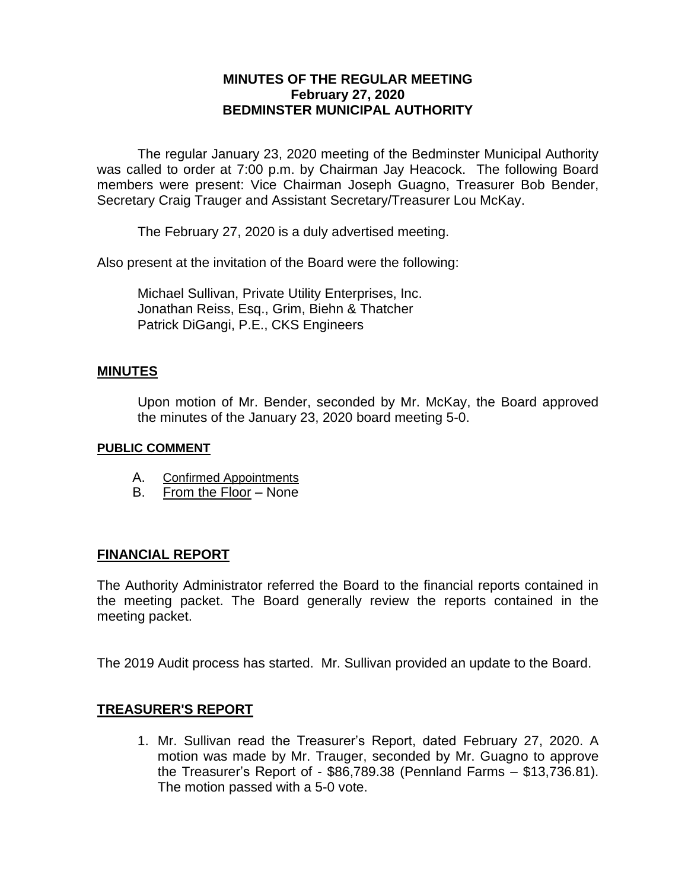## **MINUTES OF THE REGULAR MEETING February 27, 2020 BEDMINSTER MUNICIPAL AUTHORITY**

The regular January 23, 2020 meeting of the Bedminster Municipal Authority was called to order at 7:00 p.m. by Chairman Jay Heacock. The following Board members were present: Vice Chairman Joseph Guagno, Treasurer Bob Bender, Secretary Craig Trauger and Assistant Secretary/Treasurer Lou McKay.

The February 27, 2020 is a duly advertised meeting.

Also present at the invitation of the Board were the following:

Michael Sullivan, Private Utility Enterprises, Inc. Jonathan Reiss, Esq., Grim, Biehn & Thatcher Patrick DiGangi, P.E., CKS Engineers

#### **MINUTES**

Upon motion of Mr. Bender, seconded by Mr. McKay, the Board approved the minutes of the January 23, 2020 board meeting 5-0.

#### **PUBLIC COMMENT**

- A. Confirmed Appointments
- B. From the Floor None

#### **FINANCIAL REPORT**

The Authority Administrator referred the Board to the financial reports contained in the meeting packet. The Board generally review the reports contained in the meeting packet.

The 2019 Audit process has started. Mr. Sullivan provided an update to the Board.

### **TREASURER'S REPORT**

1. Mr. Sullivan read the Treasurer's Report, dated February 27, 2020. A motion was made by Mr. Trauger, seconded by Mr. Guagno to approve the Treasurer's Report of - \$86,789.38 (Pennland Farms – \$13,736.81). The motion passed with a 5-0 vote.